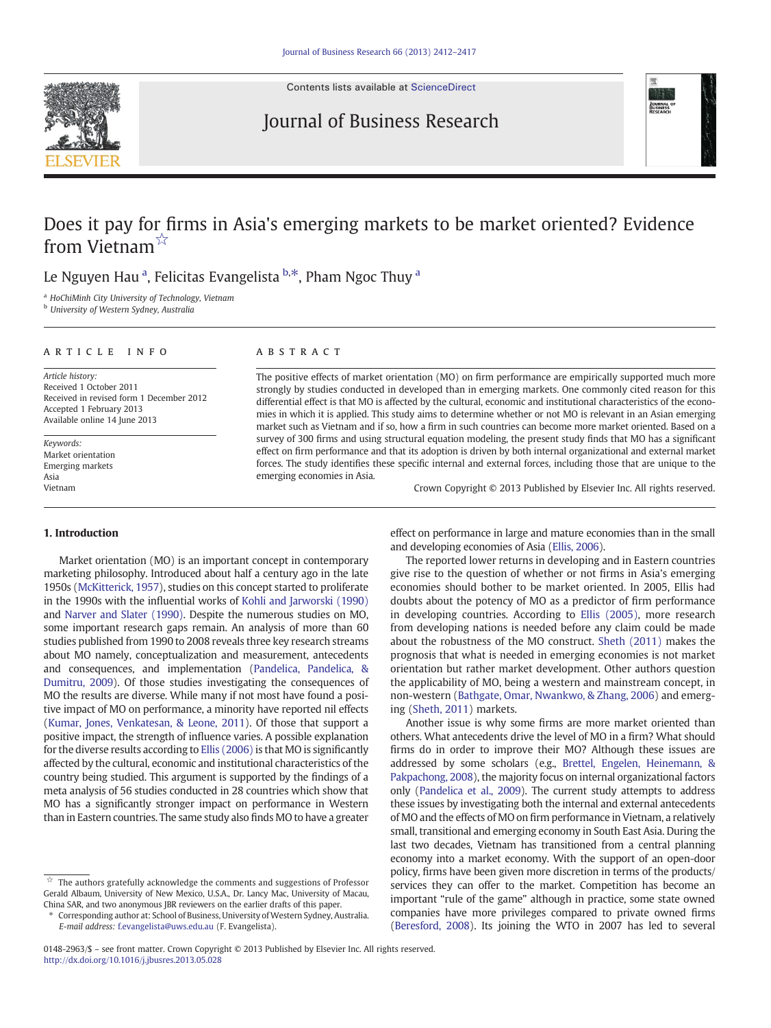Contents lists available at [ScienceDirect](http://www.sciencedirect.com/science/journal/01482963)

## Journal of Business Research



# Does it pay for firms in Asia's emerging markets to be market oriented? Evidence from Vietnam<sup>☆</sup>

Le Nguyen Hau <sup>a</sup>, Felicitas Evangelista <sup>b,\*</sup>, Pham Ngoc Thuy <sup>a</sup>

<sup>a</sup> HoChiMinh City University of Technology, Vietnam

**b** University of Western Sydney, Australia

#### ARTICLE INFO ABSTRACT

Article history: Received 1 October 2011 Received in revised form 1 December 2012 Accepted 1 February 2013 Available online 14 June 2013

Keywords: Market orientation Emerging markets Asia Vietnam

#### 1. Introduction

Market orientation (MO) is an important concept in contemporary marketing philosophy. Introduced about half a century ago in the late 1950s [\(McKitterick, 1957\)](#page--1-0), studies on this concept started to proliferate in the 1990s with the influential works of [Kohli and Jarworski \(1990\)](#page--1-0) and [Narver and Slater \(1990\).](#page--1-0) Despite the numerous studies on MO, some important research gaps remain. An analysis of more than 60 studies published from 1990 to 2008 reveals three key research streams about MO namely, conceptualization and measurement, antecedents and consequences, and implementation [\(Pandelica, Pandelica, &](#page--1-0) [Dumitru, 2009](#page--1-0)). Of those studies investigating the consequences of MO the results are diverse. While many if not most have found a positive impact of MO on performance, a minority have reported nil effects [\(Kumar, Jones, Venkatesan, & Leone, 2011](#page--1-0)). Of those that support a positive impact, the strength of influence varies. A possible explanation for the diverse results according to [Ellis \(2006\)](#page--1-0) is that MO is significantly affected by the cultural, economic and institutional characteristics of the country being studied. This argument is supported by the findings of a meta analysis of 56 studies conducted in 28 countries which show that MO has a significantly stronger impact on performance in Western than in Eastern countries. The same study also finds MO to have a greater

The positive effects of market orientation (MO) on firm performance are empirically supported much more strongly by studies conducted in developed than in emerging markets. One commonly cited reason for this differential effect is that MO is affected by the cultural, economic and institutional characteristics of the economies in which it is applied. This study aims to determine whether or not MO is relevant in an Asian emerging market such as Vietnam and if so, how a firm in such countries can become more market oriented. Based on a survey of 300 firms and using structural equation modeling, the present study finds that MO has a significant effect on firm performance and that its adoption is driven by both internal organizational and external market forces. The study identifies these specific internal and external forces, including those that are unique to the emerging economies in Asia.

Crown Copyright © 2013 Published by Elsevier Inc. All rights reserved.

effect on performance in large and mature economies than in the small and developing economies of Asia [\(Ellis, 2006\)](#page--1-0).

The reported lower returns in developing and in Eastern countries give rise to the question of whether or not firms in Asia's emerging economies should bother to be market oriented. In 2005, Ellis had doubts about the potency of MO as a predictor of firm performance in developing countries. According to [Ellis \(2005\),](#page--1-0) more research from developing nations is needed before any claim could be made about the robustness of the MO construct. [Sheth \(2011\)](#page--1-0) makes the prognosis that what is needed in emerging economies is not market orientation but rather market development. Other authors question the applicability of MO, being a western and mainstream concept, in non-western ([Bathgate, Omar, Nwankwo, & Zhang, 2006\)](#page--1-0) and emerging [\(Sheth, 2011](#page--1-0)) markets.

Another issue is why some firms are more market oriented than others. What antecedents drive the level of MO in a firm? What should firms do in order to improve their MO? Although these issues are addressed by some scholars (e.g., [Brettel, Engelen, Heinemann, &](#page--1-0) [Pakpachong, 2008](#page--1-0)), the majority focus on internal organizational factors only [\(Pandelica et al., 2009](#page--1-0)). The current study attempts to address these issues by investigating both the internal and external antecedents of MO and the effects of MO on firm performance in Vietnam, a relatively small, transitional and emerging economy in South East Asia. During the last two decades, Vietnam has transitioned from a central planning economy into a market economy. With the support of an open-door policy, firms have been given more discretion in terms of the products/ services they can offer to the market. Competition has become an important "rule of the game" although in practice, some state owned companies have more privileges compared to private owned firms [\(Beresford, 2008\)](#page--1-0). Its joining the WTO in 2007 has led to several

 $\overrightarrow{a}$  The authors gratefully acknowledge the comments and suggestions of Professor Gerald Albaum, University of New Mexico, U.S.A., Dr. Lancy Mac, University of Macau, China SAR, and two anonymous JBR reviewers on the earlier drafts of this paper.

Corresponding author at: School of Business, University of Western Sydney, Australia. E-mail address: [f.evangelista@uws.edu.au](mailto:f.evangelista@uws.edu.au) (F. Evangelista).

<sup>0148-2963/\$</sup> – see front matter. Crown Copyright © 2013 Published by Elsevier Inc. All rights reserved. <http://dx.doi.org/10.1016/j.jbusres.2013.05.028>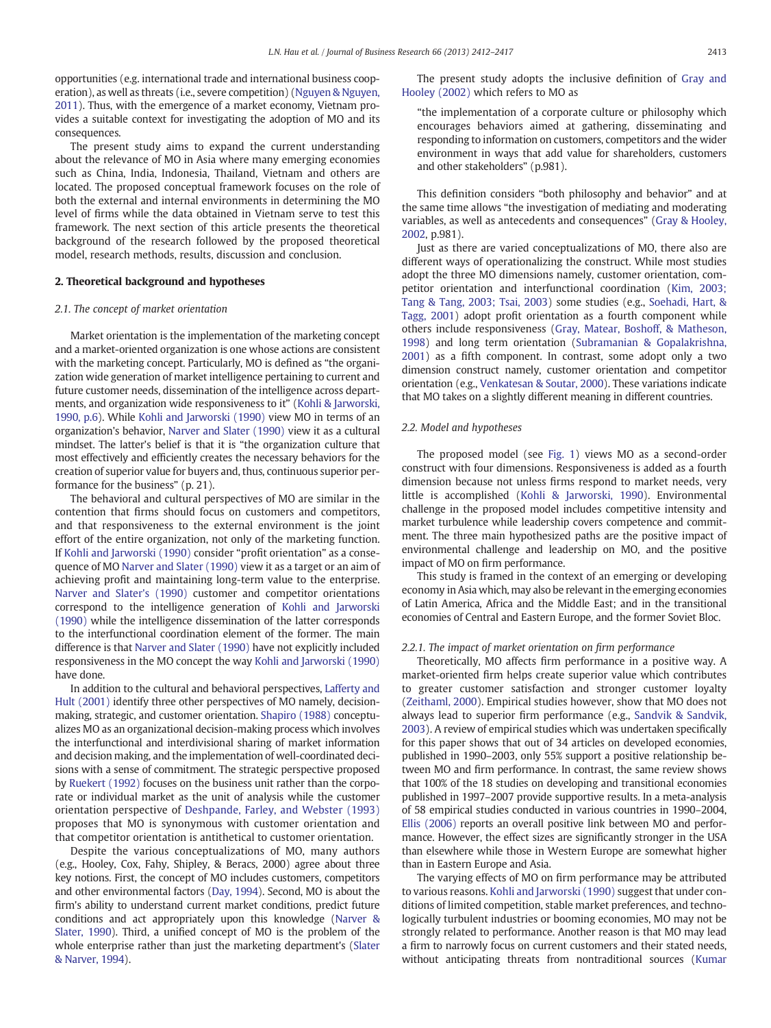opportunities (e.g. international trade and international business cooperation), as well as threats (i.e., severe competition) [\(Nguyen & Nguyen,](#page--1-0) [2011](#page--1-0)). Thus, with the emergence of a market economy, Vietnam provides a suitable context for investigating the adoption of MO and its consequences.

The present study aims to expand the current understanding about the relevance of MO in Asia where many emerging economies such as China, India, Indonesia, Thailand, Vietnam and others are located. The proposed conceptual framework focuses on the role of both the external and internal environments in determining the MO level of firms while the data obtained in Vietnam serve to test this framework. The next section of this article presents the theoretical background of the research followed by the proposed theoretical model, research methods, results, discussion and conclusion.

### 2. Theoretical background and hypotheses

#### 2.1. The concept of market orientation

Market orientation is the implementation of the marketing concept and a market-oriented organization is one whose actions are consistent with the marketing concept. Particularly, MO is defined as "the organization wide generation of market intelligence pertaining to current and future customer needs, dissemination of the intelligence across departments, and organization wide responsiveness to it" ([Kohli & Jarworski,](#page--1-0) [1990, p.6\)](#page--1-0). While [Kohli and Jarworski \(1990\)](#page--1-0) view MO in terms of an organization's behavior, [Narver and Slater \(1990\)](#page--1-0) view it as a cultural mindset. The latter's belief is that it is "the organization culture that most effectively and efficiently creates the necessary behaviors for the creation of superior value for buyers and, thus, continuous superior performance for the business" (p. 21).

The behavioral and cultural perspectives of MO are similar in the contention that firms should focus on customers and competitors, and that responsiveness to the external environment is the joint effort of the entire organization, not only of the marketing function. If [Kohli and Jarworski \(1990\)](#page--1-0) consider "profit orientation" as a consequence of MO [Narver and Slater \(1990\)](#page--1-0) view it as a target or an aim of achieving profit and maintaining long-term value to the enterprise. [Narver and Slater's \(1990\)](#page--1-0) customer and competitor orientations correspond to the intelligence generation of [Kohli and Jarworski](#page--1-0) [\(1990\)](#page--1-0) while the intelligence dissemination of the latter corresponds to the interfunctional coordination element of the former. The main difference is that [Narver and Slater \(1990\)](#page--1-0) have not explicitly included responsiveness in the MO concept the way [Kohli and Jarworski \(1990\)](#page--1-0) have done.

In addition to the cultural and behavioral perspectives, [Lafferty and](#page--1-0) [Hult \(2001\)](#page--1-0) identify three other perspectives of MO namely, decisionmaking, strategic, and customer orientation. [Shapiro \(1988\)](#page--1-0) conceptualizes MO as an organizational decision-making process which involves the interfunctional and interdivisional sharing of market information and decision making, and the implementation of well-coordinated decisions with a sense of commitment. The strategic perspective proposed by [Ruekert \(1992\)](#page--1-0) focuses on the business unit rather than the corporate or individual market as the unit of analysis while the customer orientation perspective of [Deshpande, Farley, and Webster \(1993\)](#page--1-0) proposes that MO is synonymous with customer orientation and that competitor orientation is antithetical to customer orientation.

Despite the various conceptualizations of MO, many authors (e.g., Hooley, Cox, Fahy, Shipley, & Beracs, 2000) agree about three key notions. First, the concept of MO includes customers, competitors and other environmental factors ([Day, 1994](#page--1-0)). Second, MO is about the firm's ability to understand current market conditions, predict future conditions and act appropriately upon this knowledge [\(Narver &](#page--1-0) [Slater, 1990\)](#page--1-0). Third, a unified concept of MO is the problem of the whole enterprise rather than just the marketing department's [\(Slater](#page--1-0) [& Narver, 1994\)](#page--1-0).

The present study adopts the inclusive definition of [Gray and](#page--1-0) [Hooley \(2002\)](#page--1-0) which refers to MO as

"the implementation of a corporate culture or philosophy which encourages behaviors aimed at gathering, disseminating and responding to information on customers, competitors and the wider environment in ways that add value for shareholders, customers and other stakeholders" (p.981).

This definition considers "both philosophy and behavior" and at the same time allows "the investigation of mediating and moderating variables, as well as antecedents and consequences" ([Gray & Hooley,](#page--1-0) [2002,](#page--1-0) p.981).

Just as there are varied conceptualizations of MO, there also are different ways of operationalizing the construct. While most studies adopt the three MO dimensions namely, customer orientation, competitor orientation and interfunctional coordination ([Kim, 2003;](#page--1-0) [Tang & Tang, 2003; Tsai, 2003](#page--1-0)) some studies (e.g., [Soehadi, Hart, &](#page--1-0) [Tagg, 2001](#page--1-0)) adopt profit orientation as a fourth component while others include responsiveness [\(Gray, Matear, Boshoff, & Matheson,](#page--1-0) [1998\)](#page--1-0) and long term orientation [\(Subramanian & Gopalakrishna,](#page--1-0) [2001\)](#page--1-0) as a fifth component. In contrast, some adopt only a two dimension construct namely, customer orientation and competitor orientation (e.g., [Venkatesan & Soutar, 2000](#page--1-0)). These variations indicate that MO takes on a slightly different meaning in different countries.

#### 2.2. Model and hypotheses

The proposed model (see [Fig. 1\)](#page--1-0) views MO as a second-order construct with four dimensions. Responsiveness is added as a fourth dimension because not unless firms respond to market needs, very little is accomplished [\(Kohli & Jarworski, 1990](#page--1-0)). Environmental challenge in the proposed model includes competitive intensity and market turbulence while leadership covers competence and commitment. The three main hypothesized paths are the positive impact of environmental challenge and leadership on MO, and the positive impact of MO on firm performance.

This study is framed in the context of an emerging or developing economy in Asia which, may also be relevant in the emerging economies of Latin America, Africa and the Middle East; and in the transitional economies of Central and Eastern Europe, and the former Soviet Bloc.

#### 2.2.1. The impact of market orientation on firm performance

Theoretically, MO affects firm performance in a positive way. A market-oriented firm helps create superior value which contributes to greater customer satisfaction and stronger customer loyalty [\(Zeithaml, 2000\)](#page--1-0). Empirical studies however, show that MO does not always lead to superior firm performance (e.g., [Sandvik & Sandvik,](#page--1-0) [2003\)](#page--1-0). A review of empirical studies which was undertaken specifically for this paper shows that out of 34 articles on developed economies, published in 1990–2003, only 55% support a positive relationship between MO and firm performance. In contrast, the same review shows that 100% of the 18 studies on developing and transitional economies published in 1997–2007 provide supportive results. In a meta-analysis of 58 empirical studies conducted in various countries in 1990–2004, [Ellis \(2006\)](#page--1-0) reports an overall positive link between MO and performance. However, the effect sizes are significantly stronger in the USA than elsewhere while those in Western Europe are somewhat higher than in Eastern Europe and Asia.

The varying effects of MO on firm performance may be attributed to various reasons. [Kohli and Jarworski \(1990\)](#page--1-0) suggest that under conditions of limited competition, stable market preferences, and technologically turbulent industries or booming economies, MO may not be strongly related to performance. Another reason is that MO may lead a firm to narrowly focus on current customers and their stated needs, without anticipating threats from nontraditional sources [\(Kumar](#page--1-0)